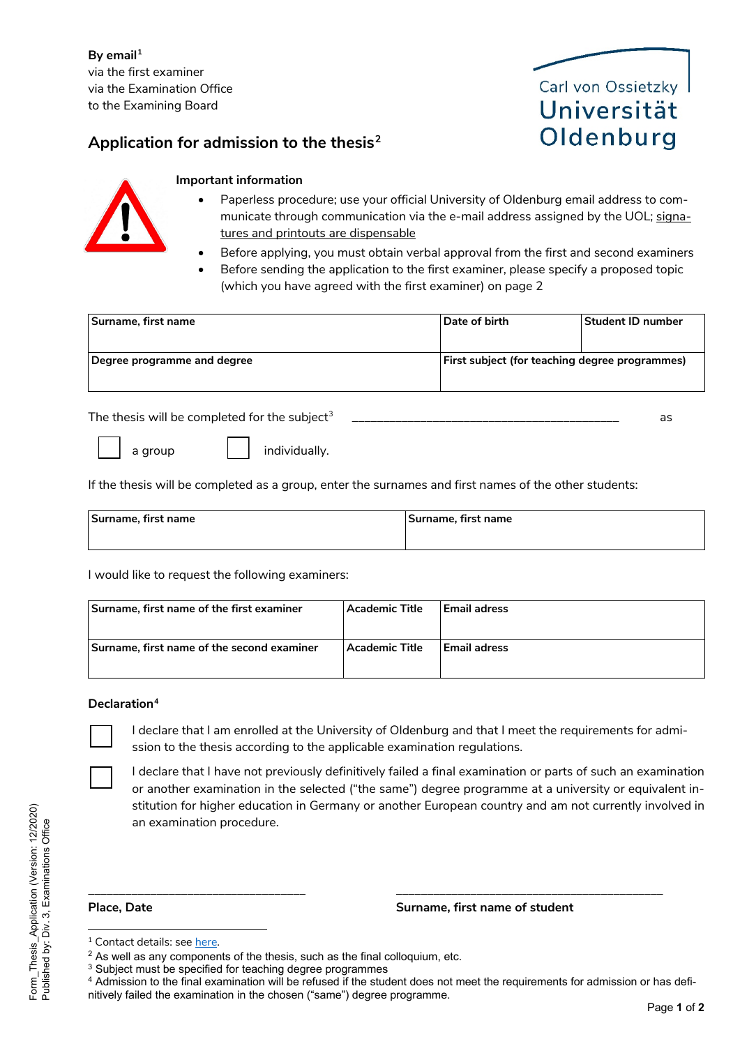**By email[1](#page-0-0)** via the first examiner via the Examination Office to the Examining Board

## **Application for admission to the thesis[2](#page-0-1)**





### **Important information**

- Paperless procedure; use your official University of Oldenburg email address to communicate through communication via the e-mail address assigned by the UOL; signatures and printouts are dispensable
- Before applying, you must obtain verbal approval from the first and second examiners
- Before sending the application to the first examiner, please specify a proposed topic (which you have agreed with the first examiner) on page 2

| Surname, first name         | l Date of birth                                       | Student ID number |
|-----------------------------|-------------------------------------------------------|-------------------|
|                             |                                                       |                   |
| Degree programme and degree | <b>First subject (for teaching degree programmes)</b> |                   |
|                             |                                                       |                   |

The thesis will be completed for the subject<sup>[3](#page-0-2)</sup>  $\qquad \qquad \text{as}$ 



a group **individually**.

If the thesis will be completed as a group, enter the surnames and first names of the other students:

| Surname, first name | 'Surname, first name |
|---------------------|----------------------|
|                     |                      |

I would like to request the following examiners:

| Surname, first name of the first examiner  | <b>Academic Title</b> | l Email adress |
|--------------------------------------------|-----------------------|----------------|
| Surname, first name of the second examiner | <b>Academic Title</b> | l Email adress |

### **Declaration[4](#page-0-3)**

I declare that I am enrolled at the University of Oldenburg and that I meet the requirements for admission to the thesis according to the applicable examination regulations.

I declare that I have not previously definitively failed a final examination or parts of such an examination or another examination in the selected ("the same") degree programme at a university or equivalent institution for higher education in Germany or another European country and am not currently involved in an examination procedure.

### **Place, Date Surname, first name of student**

\_\_\_\_\_\_\_\_\_\_\_\_\_\_\_\_\_\_\_\_\_\_\_\_\_\_\_\_\_\_\_\_\_\_\_ \_\_\_\_\_\_\_\_\_\_\_\_\_\_\_\_\_\_\_\_\_\_\_\_\_\_\_\_\_\_\_\_\_\_\_\_\_\_\_\_\_\_\_

<span id="page-0-0"></span><sup>1</sup> Contact details: see [here](https://uol.de/pruefungsamt).

 $2$  As well as any components of the thesis, such as the final colloquium, etc.

<span id="page-0-2"></span><span id="page-0-1"></span><sup>&</sup>lt;sup>3</sup> Subject must be specified for teaching degree programmes

<span id="page-0-3"></span><sup>&</sup>lt;sup>4</sup> Admission to the final examination will be refused if the student does not meet the requirements for admission or has defi-

nitively failed the examination in the chosen ("same") degree programme.